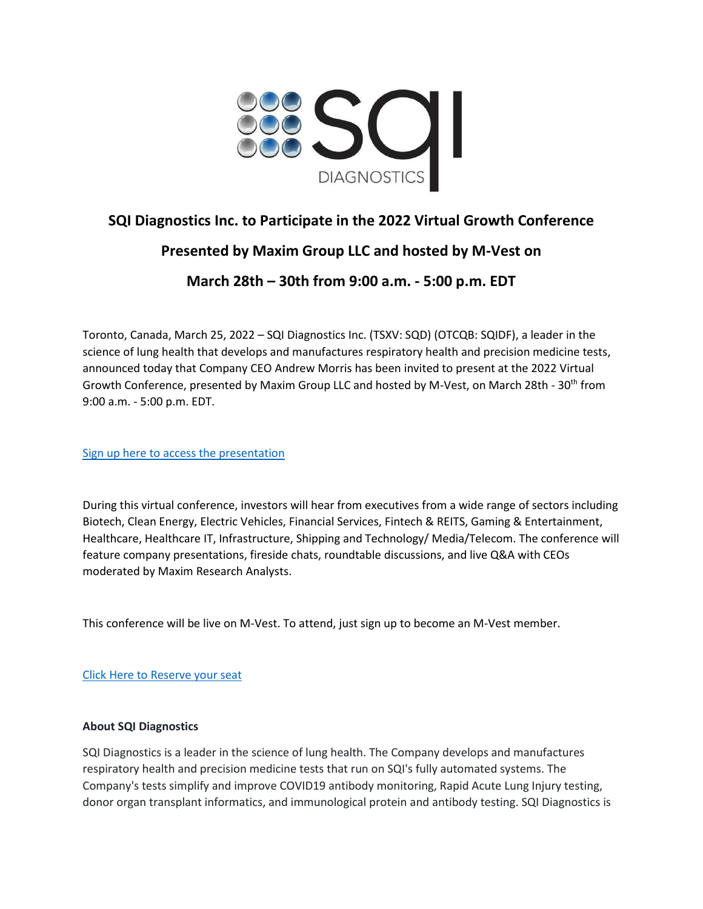

# **SQI Diagnostics Inc. to Participate in the 2022 Virtual Growth Conference**

## **Presented by Maxim Group LLC and hosted by M-Vest on**

**March 28th – 30th from 9:00 a.m. - 5:00 p.m. EDT**

Toronto, Canada, March 25, 2022 – SQI Diagnostics Inc. (TSXV: SQD) (OTCQB: SQIDF), a leader in the science of lung health that develops and manufactures respiratory health and precision medicine tests, announced today that Company CEO Andrew Morris has been invited to present at the 2022 Virtual Growth Conference, presented by Maxim Group LLC and hosted by M-Vest, on March 28th - 30<sup>th</sup> from 9:00 a.m. - 5:00 p.m. EDT.

[Sign up here to access the presentation](https://m-vest.com/events/2022-virtual-growth-conference?utm_source=PressRelease&utm_medium=PR&utm_term=Presenters&utm_content=PR)

During this virtual conference, investors will hear from executives from a wide range of sectors including Biotech, Clean Energy, Electric Vehicles, Financial Services, Fintech & REITS, Gaming & Entertainment, Healthcare, Healthcare IT, Infrastructure, Shipping and Technology/ Media/Telecom. The conference will feature company presentations, fireside chats, roundtable discussions, and live Q&A with CEOs moderated by Maxim Research Analysts.

This conference will be live on M-Vest. To attend, just sign up to become an M-Vest member.

[Click Here to Reserve your seat](https://m-vest.com/events/2022-virtual-growth-conference?utm_source=PressRelease&utm_medium=PR&utm_term=Presenters&utm_content=PR)

#### **About SQI Diagnostics**

SQI Diagnostics is a leader in the science of lung health. The Company develops and manufactures respiratory health and precision medicine tests that run on SQI's fully automated systems. The Company's tests simplify and improve COVID19 antibody monitoring, Rapid Acute Lung Injury testing, donor organ transplant informatics, and immunological protein and antibody testing. SQI Diagnostics is